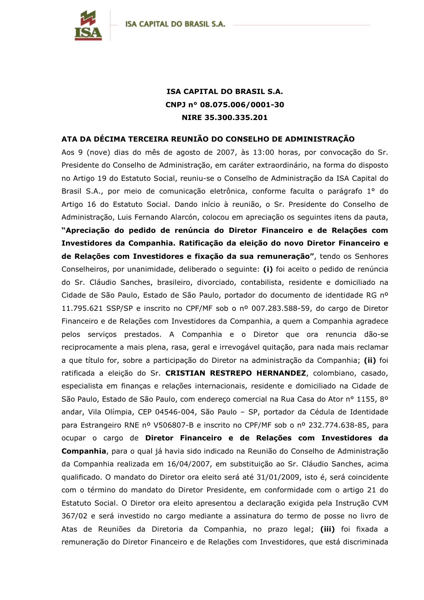

## **ISA CAPITAL DO BRASIL S.A.** CNPJ n° 08.075.006/0001-30 NIRE 35.300.335.201

## ATA DA DÉCIMA TERCEIRA REUNIÃO DO CONSELHO DE ADMINISTRAÇÃO

Aos 9 (nove) dias do mês de agosto de 2007, às 13:00 horas, por convocação do Sr. Presidente do Conselho de Administração, em caráter extraordinário, na forma do disposto no Artigo 19 do Estatuto Social, reuniu-se o Conselho de Administração da ISA Capital do Brasil S.A., por meio de comunicação eletrônica, conforme faculta o parágrafo 1° do Artigo 16 do Estatuto Social. Dando início à reunião, o Sr. Presidente do Conselho de Administração, Luis Fernando Alarcón, colocou em apreciação os seguintes itens da pauta, "Apreciação do pedido de renúncia do Diretor Financeiro e de Relações com Investidores da Companhia. Ratificação da eleição do novo Diretor Financeiro e de Relações com Investidores e fixação da sua remuneração", tendo os Senhores Conselheiros, por unanimidade, deliberado o seguinte: (i) foi aceito o pedido de renúncia do Sr. Cláudio Sanches, brasileiro, divorciado, contabilista, residente e domiciliado na Cidade de São Paulo, Estado de São Paulo, portador do documento de identidade RG nº 11.795.621 SSP/SP e inscrito no CPF/MF sob o nº 007.283.588-59, do cargo de Diretor Financeiro e de Relações com Investidores da Companhia, a quem a Companhia agradece pelos serviços prestados. A Companhia e o Diretor que ora renuncia dão-se reciprocamente a mais plena, rasa, geral e irrevogável guitação, para nada mais reclamar a que título for, sobre a participação do Diretor na administração da Companhia; (ii) foi ratificada a eleição do Sr. CRISTIAN RESTREPO HERNANDEZ, colombiano, casado, especialista em finanças e relações internacionais, residente e domiciliado na Cidade de São Paulo, Estado de São Paulo, com endereço comercial na Rua Casa do Ator nº 1155, 8º andar, Vila Olímpia, CEP 04546-004, São Paulo - SP, portador da Cédula de Identidade para Estrangeiro RNE nº V506807-B e inscrito no CPF/MF sob o nº 232.774.638-85, para ocupar o cargo de Diretor Financeiro e de Relações com Investidores da Companhia, para o qual já havia sido indicado na Reunião do Conselho de Administração da Companhia realizada em 16/04/2007, em substituição ao Sr. Cláudio Sanches, acima qualificado. O mandato do Diretor ora eleito será até 31/01/2009, isto é, será coincidente com o término do mandato do Diretor Presidente, em conformidade com o artigo 21 do Estatuto Social. O Diretor ora eleito apresentou a declaração exigida pela Instrução CVM 367/02 e será investido no cargo mediante a assinatura do termo de posse no livro de Atas de Reuniões da Diretoria da Companhia, no prazo legal; (iii) foi fixada a remuneração do Diretor Financeiro e de Relações com Investidores, que está discriminada